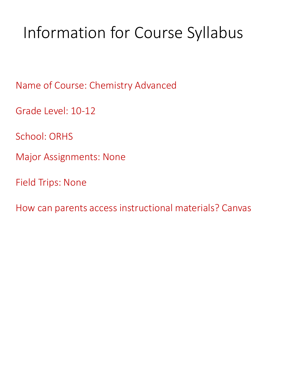# Information for Course Syllabus

Name of Course: Chemistry Advanced

Grade Level: 10-12

School: ORHS

Major Assignments: None

Field Trips: None

How can parents access instructional materials? Canvas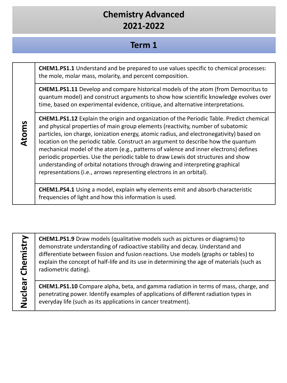### **Term 1**

**CHEM1.PS1.1** Understand and be prepared to use values specific to chemical processes: the mole, molar mass, molarity, and percent composition.

**CHEM1.PS1.11** Develop and compare historical models of the atom (from Democritus to quantum model) and construct arguments to show how scientific knowledge evolves over time, based on experimental evidence, critique, and alternative interpretations.

**Atoms**

**CHEM1.PS1.12** Explain the origin and organization of the Periodic Table. Predict chemical and physical properties of main group elements (reactivity, number of subatomic particles, ion charge, ionization energy, atomic radius, and electronegativity) based on location on the periodic table. Construct an argument to describe how the quantum mechanical model of the atom (e.g., patterns of valence and inner electrons) defines periodic properties. Use the periodic table to draw Lewis dot structures and show understanding of orbital notations through drawing and interpreting graphical representations (i.e., arrows representing electrons in an orbital).

**CHEM1.PS4.1** Using a model, explain why elements emit and absorb characteristic frequencies of light and how this information is used.

**Nuclear Chemistry** Nuclear Chemistry **CHEM1.PS1.9** Draw models (qualitative models such as pictures or diagrams) to demonstrate understanding of radioactive stability and decay. Understand and differentiate between fission and fusion reactions. Use models (graphs or tables) to explain the concept of half-life and its use in determining the age of materials (such as radiometric dating).

**CHEM1.PS1.10** Compare alpha, beta, and gamma radiation in terms of mass, charge, and penetrating power. Identify examples of applications of different radiation types in everyday life (such as its applications in cancer treatment).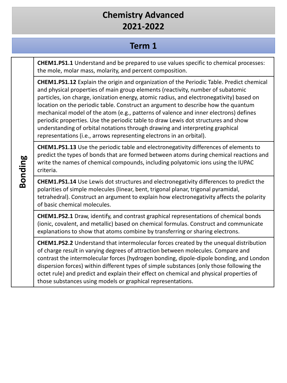### **Term 1**

**CHEM1.PS1.1** Understand and be prepared to use values specific to chemical processes: the mole, molar mass, molarity, and percent composition.

**CHEM1.PS1.12** Explain the origin and organization of the Periodic Table. Predict chemical and physical properties of main group elements (reactivity, number of subatomic particles, ion charge, ionization energy, atomic radius, and electronegativity) based on location on the periodic table. Construct an argument to describe how the quantum mechanical model of the atom (e.g., patterns of valence and inner electrons) defines periodic properties. Use the periodic table to draw Lewis dot structures and show understanding of orbital notations through drawing and interpreting graphical representations (i.e., arrows representing electrons in an orbital).

**CHEM1.PS1.13** Use the periodic table and electronegativity differences of elements to predict the types of bonds that are formed between atoms during chemical reactions and write the names of chemical compounds, including polyatomic ions using the IUPAC criteria.

**CHEM1.PS1.14** Use Lewis dot structures and electronegativity differences to predict the polarities of simple molecules (linear, bent, trigonal planar, trigonal pyramidal, tetrahedral). Construct an argument to explain how electronegativity affects the polarity of basic chemical molecules.

**CHEM1.PS2.1** Draw, identify, and contrast graphical representations of chemical bonds (ionic, covalent, and metallic) based on chemical formulas. Construct and communicate explanations to show that atoms combine by transferring or sharing electrons.

**CHEM1.PS2.2** Understand that intermolecular forces created by the unequal distribution of charge result in varying degrees of attraction between molecules. Compare and contrast the intermolecular forces (hydrogen bonding, dipole-dipole bonding, and London dispersion forces) within different types of simple substances (only those following the octet rule) and predict and explain their effect on chemical and physical properties of those substances using models or graphical representations.

**Bonding**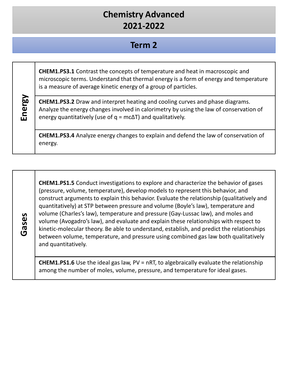#### **Term 2**

|        | <b>CHEM1.PS3.1</b> Contrast the concepts of temperature and heat in macroscopic and<br>microscopic terms. Understand that thermal energy is a form of energy and temperature<br>is a measure of average kinetic energy of a group of particles.       |
|--------|-------------------------------------------------------------------------------------------------------------------------------------------------------------------------------------------------------------------------------------------------------|
| Energy | <b>CHEM1.PS3.2</b> Draw and interpret heating and cooling curves and phase diagrams.<br>Analyze the energy changes involved in calorimetry by using the law of conservation of<br>energy quantitatively (use of $q = mc\Delta T$ ) and qualitatively. |
|        | CHEM1.PS3.4 Analyze energy changes to explain and defend the law of conservation of<br>energy.                                                                                                                                                        |

**Gases**

**CHEM1.PS1.5** Conduct investigations to explore and characterize the behavior of gases (pressure, volume, temperature), develop models to represent this behavior, and construct arguments to explain this behavior. Evaluate the relationship (qualitatively and quantitatively) at STP between pressure and volume (Boyle's law), temperature and volume (Charles's law), temperature and pressure (Gay-Lussac law), and moles and volume (Avogadro's law), and evaluate and explain these relationships with respect to kinetic-molecular theory. Be able to understand, establish, and predict the relationships between volume, temperature, and pressure using combined gas law both qualitatively and quantitatively.

**CHEM1.PS1.6** Use the ideal gas law, PV = nRT, to algebraically evaluate the relationship among the number of moles, volume, pressure, and temperature for ideal gases.